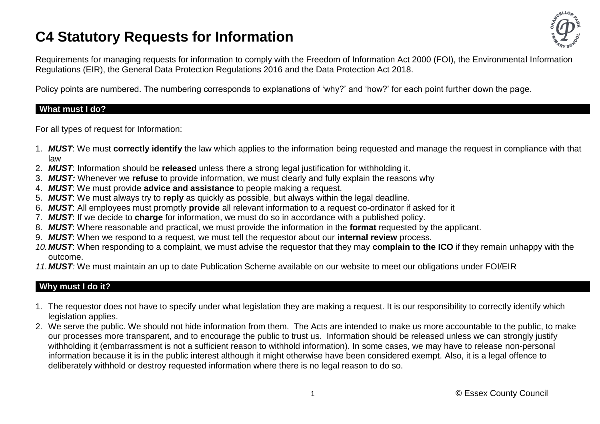# **C4 Statutory Requests for Information**



Requirements for managing requests for information to comply with the Freedom of Information Act 2000 (FOI), the Environmental Information Regulations (EIR), the General Data Protection Regulations 2016 and the Data Protection Act 2018.

Policy points are numbered. The numbering corresponds to explanations of 'why?' and 'how?' for each point further down the page.

#### **What must I do?**

For all types of request for Information:

- 1. *MUST*: We must **correctly identify** the law which applies to the information being requested and manage the request in compliance with that law
- 2. *MUST*: Information should be **released** unless there a strong legal justification for withholding it.
- 3. *MUST:* Whenever we **refuse** to provide information, we must clearly and fully explain the reasons why
- 4. *MUST*: We must provide **advice and assistance** to people making a request.
- 5. *MUST*: We must always try to **reply** as quickly as possible, but always within the legal deadline.
- 6. *MUST*: All employees must promptly **provide** all relevant information to a request co-ordinator if asked for it
- 7. *MUST*: If we decide to **charge** for information, we must do so in accordance with a published policy.
- 8. *MUST*: Where reasonable and practical, we must provide the information in the **format** requested by the applicant.
- 9. *MUST*: When we respond to a request, we must tell the requestor about our **internal review** process.
- *10.MUST*: When responding to a complaint, we must advise the requestor that they may **complain to the ICO** if they remain unhappy with the outcome.
- *11.MUST:* We must maintain an up to date Publication Scheme available on our website to meet our obligations under FOI/EIR

## **Why must I do it?**

- 1. The requestor does not have to specify under what legislation they are making a request. It is our responsibility to correctly identify which legislation applies.
- 2. We serve the public. We should not hide information from them. The Acts are intended to make us more accountable to the public, to make our processes more transparent, and to encourage the public to trust us. Information should be released unless we can strongly justify withholding it (embarrassment is not a sufficient reason to withhold information). In some cases, we may have to release non-personal information because it is in the public interest although it might otherwise have been considered exempt. Also, it is a legal offence to deliberately withhold or destroy requested information where there is no legal reason to do so.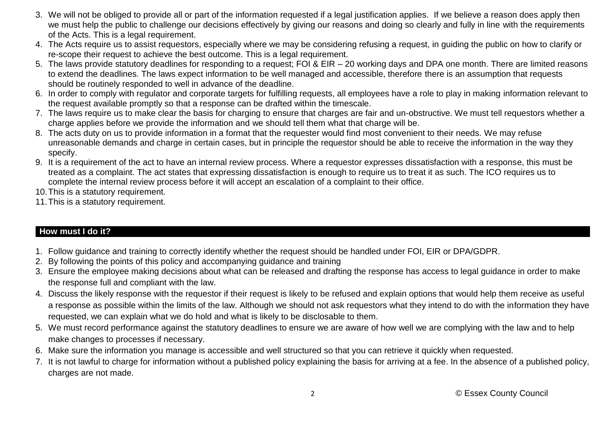- 3. We will not be obliged to provide all or part of the information requested if a legal justification applies. If we believe a reason does apply then we must help the public to challenge our decisions effectively by giving our reasons and doing so clearly and fully in line with the requirements of the Acts. This is a legal requirement.
- 4. The Acts require us to assist requestors, especially where we may be considering refusing a request, in guiding the public on how to clarify or re-scope their request to achieve the best outcome. This is a legal requirement.
- 5. The laws provide statutory deadlines for responding to a request; FOI & EIR 20 working days and DPA one month. There are limited reasons to extend the deadlines. The laws expect information to be well managed and accessible, therefore there is an assumption that requests should be routinely responded to well in advance of the deadline.
- 6. In order to comply with regulator and corporate targets for fulfilling requests, all employees have a role to play in making information relevant to the request available promptly so that a response can be drafted within the timescale.
- 7. The laws require us to make clear the basis for charging to ensure that charges are fair and un-obstructive. We must tell requestors whether a charge applies before we provide the information and we should tell them what that charge will be.
- 8. The acts duty on us to provide information in a format that the requester would find most convenient to their needs. We may refuse unreasonable demands and charge in certain cases, but in principle the requestor should be able to receive the information in the way they specify.
- 9. It is a requirement of the act to have an internal review process. Where a requestor expresses dissatisfaction with a response, this must be treated as a complaint. The act states that expressing dissatisfaction is enough to require us to treat it as such. The ICO requires us to complete the internal review process before it will accept an escalation of a complaint to their office.
- 10.This is a statutory requirement.
- 11.This is a statutory requirement.

## **How must I do it?**

- 1. Follow guidance and training to correctly identify whether the request should be handled under FOI, EIR or DPA/GDPR.
- 2. By following the points of this policy and accompanying guidance and training
- 3. Ensure the employee making decisions about what can be released and drafting the response has access to legal guidance in order to make the response full and compliant with the law.
- 4. Discuss the likely response with the requestor if their request is likely to be refused and explain options that would help them receive as useful a response as possible within the limits of the law. Although we should not ask requestors what they intend to do with the information they have requested, we can explain what we do hold and what is likely to be disclosable to them.
- 5. We must record performance against the statutory deadlines to ensure we are aware of how well we are complying with the law and to help make changes to processes if necessary.
- 6. Make sure the information you manage is accessible and well structured so that you can retrieve it quickly when requested.
- 7. It is not lawful to charge for information without a published policy explaining the basis for arriving at a fee. In the absence of a published policy, charges are not made.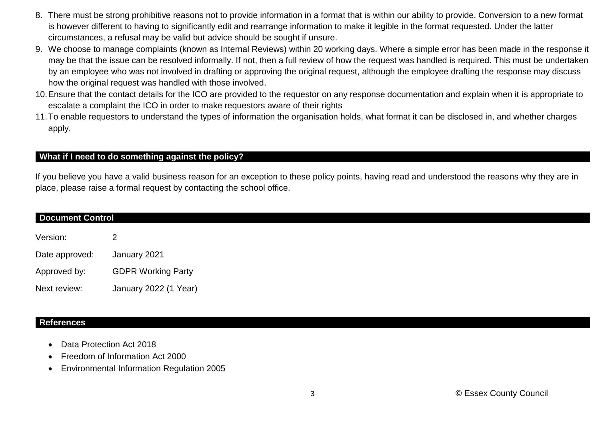- 8. There must be strong prohibitive reasons not to provide information in a format that is within our ability to provide. Conversion to a new format is however different to having to significantly edit and rearrange information to make it legible in the format requested. Under the latter circumstances, a refusal may be valid but advice should be sought if unsure.
- 9. We choose to manage complaints (known as Internal Reviews) within 20 working days. Where a simple error has been made in the response it may be that the issue can be resolved informally. If not, then a full review of how the request was handled is required. This must be undertaken by an employee who was not involved in drafting or approving the original request, although the employee drafting the response may discuss how the original request was handled with those involved.
- 10.Ensure that the contact details for the ICO are provided to the requestor on any response documentation and explain when it is appropriate to escalate a complaint the ICO in order to make requestors aware of their rights
- 11.To enable requestors to understand the types of information the organisation holds, what format it can be disclosed in, and whether charges apply.

## **What if I need to do something against the policy?**

If you believe you have a valid business reason for an exception to these policy points, having read and understood the reasons why they are in place, please raise a formal request by contacting the school office.

| <b>Document Control</b> |                           |
|-------------------------|---------------------------|
| Version:                | $\mathbf{2}^{\mathsf{I}}$ |
| Date approved:          | January 2021              |
| Approved by:            | <b>GDPR Working Party</b> |
| Next review:            | January 2022 (1 Year)     |

#### **References**

- Data Protection Act 2018
- Freedom of Information Act 2000
- Environmental Information Regulation 2005